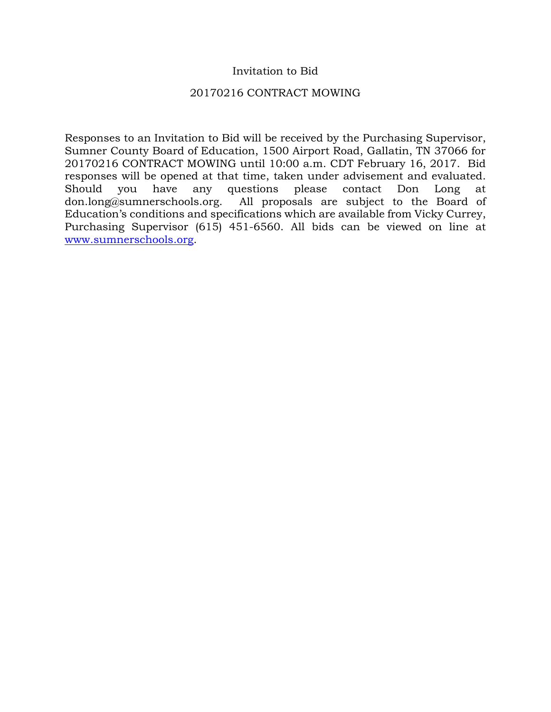#### Invitation to Bid

#### 20170216 CONTRACT MOWING

Responses to an Invitation to Bid will be received by the Purchasing Supervisor, Sumner County Board of Education, 1500 Airport Road, Gallatin, TN 37066 for 20170216 CONTRACT MOWING until 10:00 a.m. CDT February 16, 2017. Bid responses will be opened at that time, taken under advisement and evaluated. Should you have any questions please contact Don Long at don.long@sumnerschools.org. All proposals are subject to the Board of Education's conditions and specifications which are available from Vicky Currey, Purchasing Supervisor (615) 451-6560. All bids can be viewed on line at [www.sumnerschools.org.](http://www.sumnerschools.org/)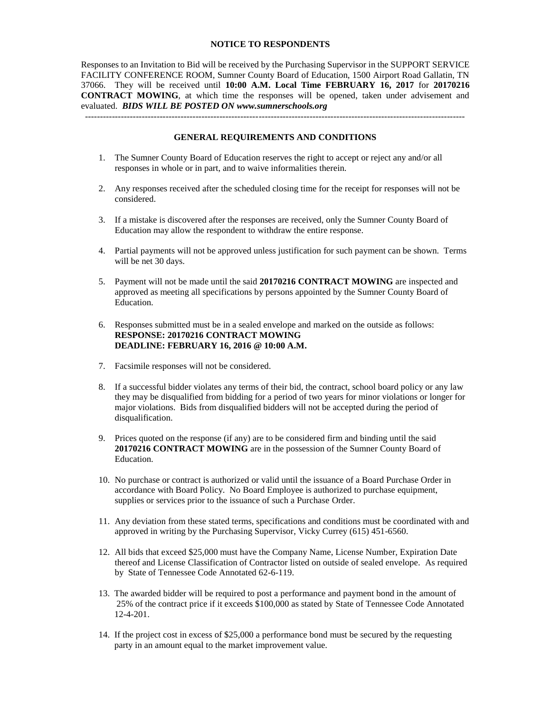#### **NOTICE TO RESPONDENTS**

Responses to an Invitation to Bid will be received by the Purchasing Supervisor in the SUPPORT SERVICE FACILITY CONFERENCE ROOM, Sumner County Board of Education, 1500 Airport Road Gallatin, TN 37066. They will be received until **10:00 A.M. Local Time FEBRUARY 16, 2017** for **20170216 CONTRACT MOWING**, at which time the responses will be opened, taken under advisement and evaluated. *BIDS WILL BE POSTED ON www.sumnerschools.org*

#### **GENERAL REQUIREMENTS AND CONDITIONS**

-------------------------------------------------------------------------------------------------------------------------------

- 1. The Sumner County Board of Education reserves the right to accept or reject any and/or all responses in whole or in part, and to waive informalities therein.
- 2. Any responses received after the scheduled closing time for the receipt for responses will not be considered.
- 3. If a mistake is discovered after the responses are received, only the Sumner County Board of Education may allow the respondent to withdraw the entire response.
- 4. Partial payments will not be approved unless justification for such payment can be shown. Terms will be net 30 days.
- 5. Payment will not be made until the said **20170216 CONTRACT MOWING** are inspected and approved as meeting all specifications by persons appointed by the Sumner County Board of Education.
- 6. Responses submitted must be in a sealed envelope and marked on the outside as follows: **RESPONSE: 20170216 CONTRACT MOWING DEADLINE: FEBRUARY 16, 2016 @ 10:00 A.M.**
- 7. Facsimile responses will not be considered.
- 8. If a successful bidder violates any terms of their bid, the contract, school board policy or any law they may be disqualified from bidding for a period of two years for minor violations or longer for major violations. Bids from disqualified bidders will not be accepted during the period of disqualification.
- 9. Prices quoted on the response (if any) are to be considered firm and binding until the said **20170216 CONTRACT MOWING** are in the possession of the Sumner County Board of Education.
- 10. No purchase or contract is authorized or valid until the issuance of a Board Purchase Order in accordance with Board Policy. No Board Employee is authorized to purchase equipment, supplies or services prior to the issuance of such a Purchase Order.
- 11. Any deviation from these stated terms, specifications and conditions must be coordinated with and approved in writing by the Purchasing Supervisor, Vicky Currey (615) 451-6560.
- 12. All bids that exceed \$25,000 must have the Company Name, License Number, Expiration Date thereof and License Classification of Contractor listed on outside of sealed envelope. As required by State of Tennessee Code Annotated 62-6-119.
- 13. The awarded bidder will be required to post a performance and payment bond in the amount of 25% of the contract price if it exceeds \$100,000 as stated by State of Tennessee Code Annotated 12-4-201.
- 14. If the project cost in excess of \$25,000 a performance bond must be secured by the requesting party in an amount equal to the market improvement value.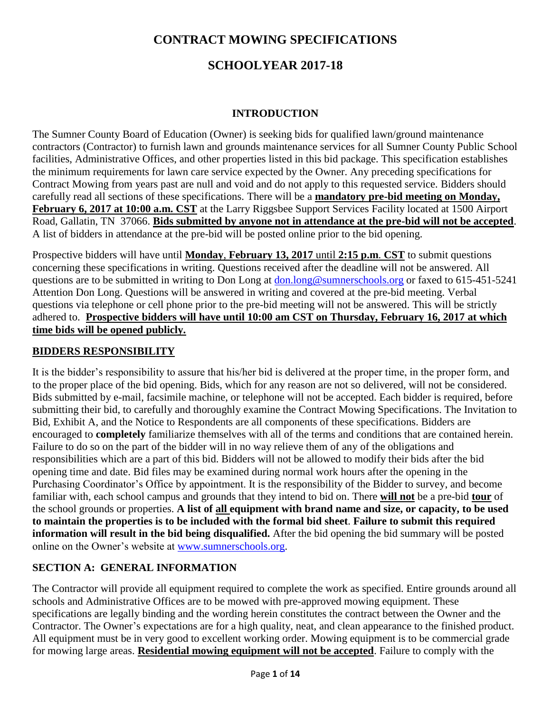# **CONTRACT MOWING SPECIFICATIONS**

# **SCHOOLYEAR 2017-18**

#### **INTRODUCTION**

The Sumner County Board of Education (Owner) is seeking bids for qualified lawn/ground maintenance contractors (Contractor) to furnish lawn and grounds maintenance services for all Sumner County Public School facilities, Administrative Offices, and other properties listed in this bid package. This specification establishes the minimum requirements for lawn care service expected by the Owner. Any preceding specifications for Contract Mowing from years past are null and void and do not apply to this requested service. Bidders should carefully read all sections of these specifications. There will be a **mandatory pre-bid meeting on Monday, February 6, 2017 at 10:00 a.m. CST** at the Larry Riggsbee Support Services Facility located at 1500 Airport Road, Gallatin, TN 37066. **Bids submitted by anyone not in attendance at the pre-bid will not be accepted**. A list of bidders in attendance at the pre-bid will be posted online prior to the bid opening.

Prospective bidders will have until **Monday**, **February 13, 2017** until **2:15 p.m**. **CST** to submit questions concerning these specifications in writing. Questions received after the deadline will not be answered. All questions are to be submitted in writing to Don Long at [don.long@sumnerschools.org](mailto:don.long@sumnerschools.org) or faxed to 615-451-5241 Attention Don Long. Questions will be answered in writing and covered at the pre-bid meeting. Verbal questions via telephone or cell phone prior to the pre-bid meeting will not be answered. This will be strictly adhered to. **Prospective bidders will have until 10:00 am CST on Thursday, February 16, 2017 at which time bids will be opened publicly.**

#### **BIDDERS RESPONSIBILITY**

It is the bidder's responsibility to assure that his/her bid is delivered at the proper time, in the proper form, and to the proper place of the bid opening. Bids, which for any reason are not so delivered, will not be considered. Bids submitted by e-mail, facsimile machine, or telephone will not be accepted. Each bidder is required, before submitting their bid, to carefully and thoroughly examine the Contract Mowing Specifications. The Invitation to Bid, Exhibit A, and the Notice to Respondents are all components of these specifications. Bidders are encouraged to **completely** familiarize themselves with all of the terms and conditions that are contained herein. Failure to do so on the part of the bidder will in no way relieve them of any of the obligations and responsibilities which are a part of this bid. Bidders will not be allowed to modify their bids after the bid opening time and date. Bid files may be examined during normal work hours after the opening in the Purchasing Coordinator's Office by appointment. It is the responsibility of the Bidder to survey, and become familiar with, each school campus and grounds that they intend to bid on. There **will not** be a pre-bid **tour** of the school grounds or properties. **A list of all equipment with brand name and size, or capacity, to be used to maintain the properties is to be included with the formal bid sheet**. **Failure to submit this required information will result in the bid being disqualified.** After the bid opening the bid summary will be posted online on the Owner's website at [www.sumnerschools.org.](http://www.sumnerschools.org/)

### **SECTION A: GENERAL INFORMATION**

The Contractor will provide all equipment required to complete the work as specified. Entire grounds around all schools and Administrative Offices are to be mowed with pre-approved mowing equipment. These specifications are legally binding and the wording herein constitutes the contract between the Owner and the Contractor. The Owner's expectations are for a high quality, neat, and clean appearance to the finished product. All equipment must be in very good to excellent working order. Mowing equipment is to be commercial grade for mowing large areas. **Residential mowing equipment will not be accepted**. Failure to comply with the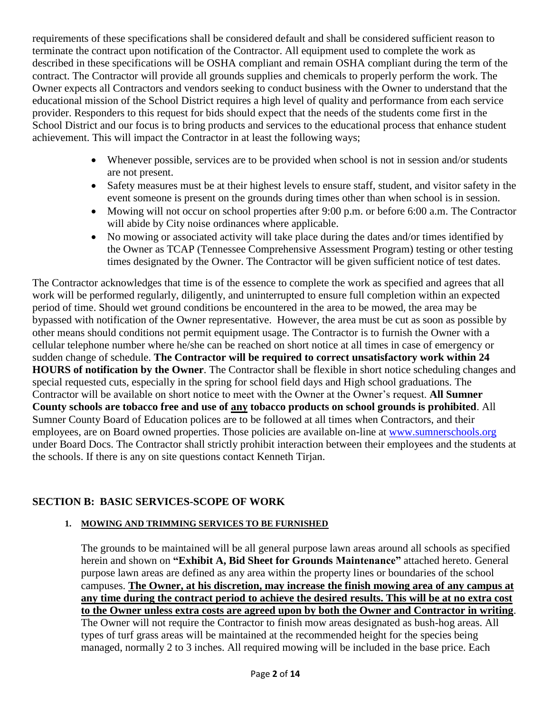requirements of these specifications shall be considered default and shall be considered sufficient reason to terminate the contract upon notification of the Contractor. All equipment used to complete the work as described in these specifications will be OSHA compliant and remain OSHA compliant during the term of the contract. The Contractor will provide all grounds supplies and chemicals to properly perform the work. The Owner expects all Contractors and vendors seeking to conduct business with the Owner to understand that the educational mission of the School District requires a high level of quality and performance from each service provider. Responders to this request for bids should expect that the needs of the students come first in the School District and our focus is to bring products and services to the educational process that enhance student achievement. This will impact the Contractor in at least the following ways;

- Whenever possible, services are to be provided when school is not in session and/or students are not present.
- Safety measures must be at their highest levels to ensure staff, student, and visitor safety in the event someone is present on the grounds during times other than when school is in session.
- Mowing will not occur on school properties after 9:00 p.m. or before 6:00 a.m. The Contractor will abide by City noise ordinances where applicable.
- No mowing or associated activity will take place during the dates and/or times identified by the Owner as TCAP (Tennessee Comprehensive Assessment Program) testing or other testing times designated by the Owner. The Contractor will be given sufficient notice of test dates.

The Contractor acknowledges that time is of the essence to complete the work as specified and agrees that all work will be performed regularly, diligently, and uninterrupted to ensure full completion within an expected period of time. Should wet ground conditions be encountered in the area to be mowed, the area may be bypassed with notification of the Owner representative. However, the area must be cut as soon as possible by other means should conditions not permit equipment usage. The Contractor is to furnish the Owner with a cellular telephone number where he/she can be reached on short notice at all times in case of emergency or sudden change of schedule. **The Contractor will be required to correct unsatisfactory work within 24 HOURS of notification by the Owner**. The Contractor shall be flexible in short notice scheduling changes and special requested cuts, especially in the spring for school field days and High school graduations. The Contractor will be available on short notice to meet with the Owner at the Owner's request. **All Sumner County schools are tobacco free and use of any tobacco products on school grounds is prohibited**. All Sumner County Board of Education polices are to be followed at all times when Contractors, and their employees, are on Board owned properties. Those policies are available on-line at [www.sumnerschools.org](http://www.sumnerschools.org/) under Board Docs. The Contractor shall strictly prohibit interaction between their employees and the students at the schools. If there is any on site questions contact Kenneth Tirjan.

### **SECTION B: BASIC SERVICES-SCOPE OF WORK**

#### **1. MOWING AND TRIMMING SERVICES TO BE FURNISHED**

The grounds to be maintained will be all general purpose lawn areas around all schools as specified herein and shown on **"Exhibit A, Bid Sheet for Grounds Maintenance"** attached hereto. General purpose lawn areas are defined as any area within the property lines or boundaries of the school campuses. **The Owner, at his discretion, may increase the finish mowing area of any campus at any time during the contract period to achieve the desired results. This will be at no extra cost to the Owner unless extra costs are agreed upon by both the Owner and Contractor in writing**. The Owner will not require the Contractor to finish mow areas designated as bush-hog areas. All types of turf grass areas will be maintained at the recommended height for the species being managed, normally 2 to 3 inches. All required mowing will be included in the base price. Each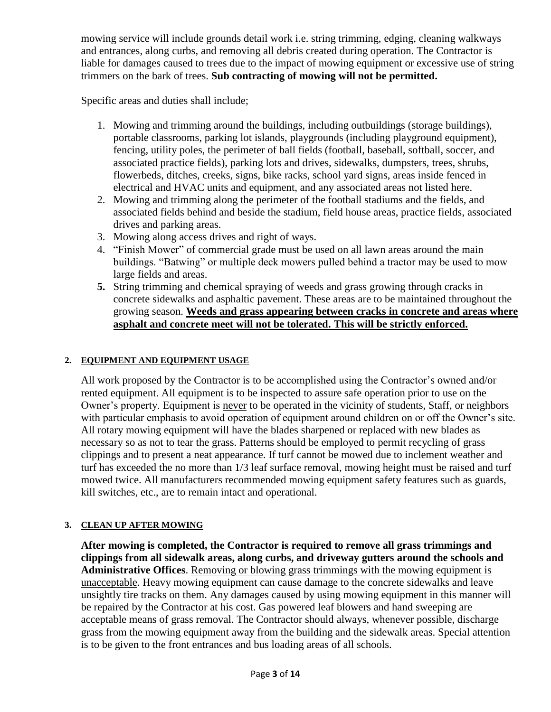mowing service will include grounds detail work i.e. string trimming, edging, cleaning walkways and entrances, along curbs, and removing all debris created during operation. The Contractor is liable for damages caused to trees due to the impact of mowing equipment or excessive use of string trimmers on the bark of trees. **Sub contracting of mowing will not be permitted.**

Specific areas and duties shall include;

- 1. Mowing and trimming around the buildings, including outbuildings (storage buildings), portable classrooms, parking lot islands, playgrounds (including playground equipment), fencing, utility poles, the perimeter of ball fields (football, baseball, softball, soccer, and associated practice fields), parking lots and drives, sidewalks, dumpsters, trees, shrubs, flowerbeds, ditches, creeks, signs, bike racks, school yard signs, areas inside fenced in electrical and HVAC units and equipment, and any associated areas not listed here.
- 2. Mowing and trimming along the perimeter of the football stadiums and the fields, and associated fields behind and beside the stadium, field house areas, practice fields, associated drives and parking areas.
- 3. Mowing along access drives and right of ways.
- 4. "Finish Mower" of commercial grade must be used on all lawn areas around the main buildings. "Batwing" or multiple deck mowers pulled behind a tractor may be used to mow large fields and areas.
- **5.** String trimming and chemical spraying of weeds and grass growing through cracks in concrete sidewalks and asphaltic pavement. These areas are to be maintained throughout the growing season. **Weeds and grass appearing between cracks in concrete and areas where asphalt and concrete meet will not be tolerated. This will be strictly enforced.**

#### **2. EQUIPMENT AND EQUIPMENT USAGE**

All work proposed by the Contractor is to be accomplished using the Contractor's owned and/or rented equipment. All equipment is to be inspected to assure safe operation prior to use on the Owner's property. Equipment is never to be operated in the vicinity of students, Staff, or neighbors with particular emphasis to avoid operation of equipment around children on or off the Owner's site. All rotary mowing equipment will have the blades sharpened or replaced with new blades as necessary so as not to tear the grass. Patterns should be employed to permit recycling of grass clippings and to present a neat appearance. If turf cannot be mowed due to inclement weather and turf has exceeded the no more than 1/3 leaf surface removal, mowing height must be raised and turf mowed twice. All manufacturers recommended mowing equipment safety features such as guards, kill switches, etc., are to remain intact and operational.

#### **3. CLEAN UP AFTER MOWING**

**After mowing is completed, the Contractor is required to remove all grass trimmings and clippings from all sidewalk areas, along curbs, and driveway gutters around the schools and Administrative Offices**. Removing or blowing grass trimmings with the mowing equipment is unacceptable. Heavy mowing equipment can cause damage to the concrete sidewalks and leave unsightly tire tracks on them. Any damages caused by using mowing equipment in this manner will be repaired by the Contractor at his cost. Gas powered leaf blowers and hand sweeping are acceptable means of grass removal. The Contractor should always, whenever possible, discharge grass from the mowing equipment away from the building and the sidewalk areas. Special attention is to be given to the front entrances and bus loading areas of all schools.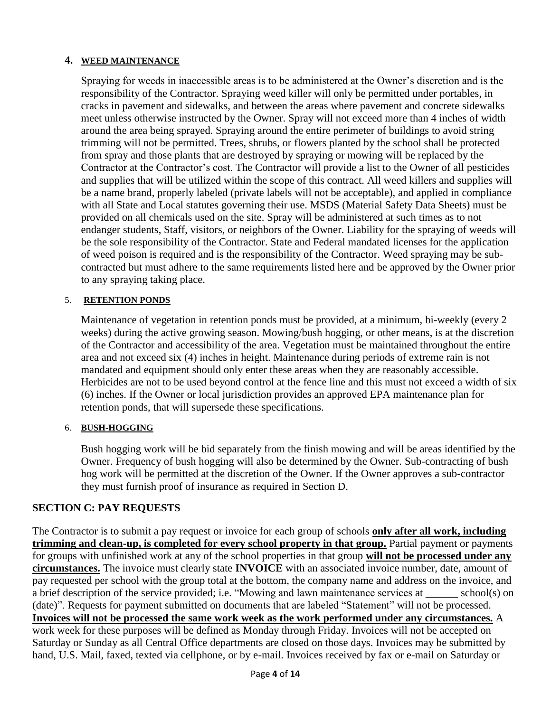#### **4. WEED MAINTENANCE**

Spraying for weeds in inaccessible areas is to be administered at the Owner's discretion and is the responsibility of the Contractor. Spraying weed killer will only be permitted under portables, in cracks in pavement and sidewalks, and between the areas where pavement and concrete sidewalks meet unless otherwise instructed by the Owner. Spray will not exceed more than 4 inches of width around the area being sprayed. Spraying around the entire perimeter of buildings to avoid string trimming will not be permitted. Trees, shrubs, or flowers planted by the school shall be protected from spray and those plants that are destroyed by spraying or mowing will be replaced by the Contractor at the Contractor's cost. The Contractor will provide a list to the Owner of all pesticides and supplies that will be utilized within the scope of this contract. All weed killers and supplies will be a name brand, properly labeled (private labels will not be acceptable), and applied in compliance with all State and Local statutes governing their use. MSDS (Material Safety Data Sheets) must be provided on all chemicals used on the site. Spray will be administered at such times as to not endanger students, Staff, visitors, or neighbors of the Owner. Liability for the spraying of weeds will be the sole responsibility of the Contractor. State and Federal mandated licenses for the application of weed poison is required and is the responsibility of the Contractor. Weed spraying may be subcontracted but must adhere to the same requirements listed here and be approved by the Owner prior to any spraying taking place.

#### 5. **RETENTION PONDS**

Maintenance of vegetation in retention ponds must be provided, at a minimum, bi-weekly (every 2 weeks) during the active growing season. Mowing/bush hogging, or other means, is at the discretion of the Contractor and accessibility of the area. Vegetation must be maintained throughout the entire area and not exceed six (4) inches in height. Maintenance during periods of extreme rain is not mandated and equipment should only enter these areas when they are reasonably accessible. Herbicides are not to be used beyond control at the fence line and this must not exceed a width of six (6) inches. If the Owner or local jurisdiction provides an approved EPA maintenance plan for retention ponds, that will supersede these specifications.

#### 6. **BUSH-HOGGING**

Bush hogging work will be bid separately from the finish mowing and will be areas identified by the Owner. Frequency of bush hogging will also be determined by the Owner. Sub-contracting of bush hog work will be permitted at the discretion of the Owner. If the Owner approves a sub-contractor they must furnish proof of insurance as required in Section D.

#### **SECTION C: PAY REQUESTS**

The Contractor is to submit a pay request or invoice for each group of schools **only after all work, including trimming and clean-up, is completed for every school property in that group.** Partial payment or payments for groups with unfinished work at any of the school properties in that group **will not be processed under any circumstances.** The invoice must clearly state **INVOICE** with an associated invoice number, date, amount of pay requested per school with the group total at the bottom, the company name and address on the invoice, and a brief description of the service provided; i.e. "Mowing and lawn maintenance services at \_\_\_\_\_\_ school(s) on (date)". Requests for payment submitted on documents that are labeled "Statement" will not be processed. **Invoices will not be processed the same work week as the work performed under any circumstances.** A work week for these purposes will be defined as Monday through Friday. Invoices will not be accepted on Saturday or Sunday as all Central Office departments are closed on those days. Invoices may be submitted by hand, U.S. Mail, faxed, texted via cellphone, or by e-mail. Invoices received by fax or e-mail on Saturday or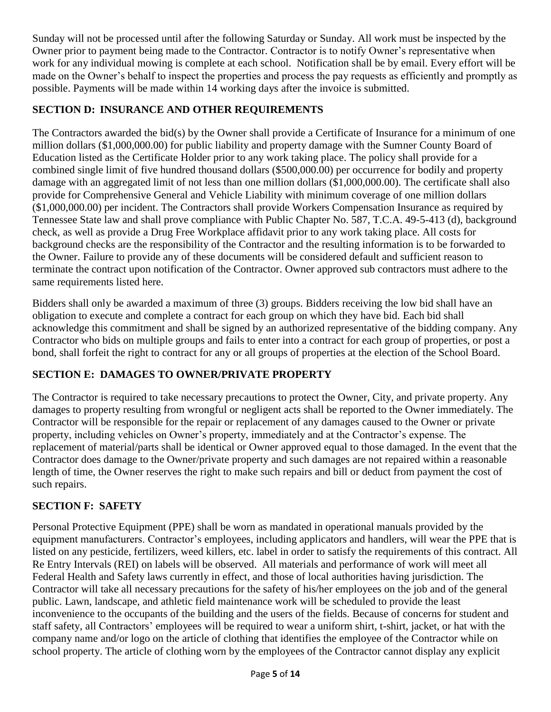Sunday will not be processed until after the following Saturday or Sunday. All work must be inspected by the Owner prior to payment being made to the Contractor. Contractor is to notify Owner's representative when work for any individual mowing is complete at each school. Notification shall be by email. Every effort will be made on the Owner's behalf to inspect the properties and process the pay requests as efficiently and promptly as possible. Payments will be made within 14 working days after the invoice is submitted.

### **SECTION D: INSURANCE AND OTHER REQUIREMENTS**

The Contractors awarded the bid(s) by the Owner shall provide a Certificate of Insurance for a minimum of one million dollars (\$1,000,000.00) for public liability and property damage with the Sumner County Board of Education listed as the Certificate Holder prior to any work taking place. The policy shall provide for a combined single limit of five hundred thousand dollars (\$500,000.00) per occurrence for bodily and property damage with an aggregated limit of not less than one million dollars (\$1,000,000.00). The certificate shall also provide for Comprehensive General and Vehicle Liability with minimum coverage of one million dollars (\$1,000,000.00) per incident. The Contractors shall provide Workers Compensation Insurance as required by Tennessee State law and shall prove compliance with Public Chapter No. 587, T.C.A. 49-5-413 (d), background check, as well as provide a Drug Free Workplace affidavit prior to any work taking place. All costs for background checks are the responsibility of the Contractor and the resulting information is to be forwarded to the Owner. Failure to provide any of these documents will be considered default and sufficient reason to terminate the contract upon notification of the Contractor. Owner approved sub contractors must adhere to the same requirements listed here.

Bidders shall only be awarded a maximum of three (3) groups. Bidders receiving the low bid shall have an obligation to execute and complete a contract for each group on which they have bid. Each bid shall acknowledge this commitment and shall be signed by an authorized representative of the bidding company. Any Contractor who bids on multiple groups and fails to enter into a contract for each group of properties, or post a bond, shall forfeit the right to contract for any or all groups of properties at the election of the School Board.

### **SECTION E: DAMAGES TO OWNER/PRIVATE PROPERTY**

The Contractor is required to take necessary precautions to protect the Owner, City, and private property. Any damages to property resulting from wrongful or negligent acts shall be reported to the Owner immediately. The Contractor will be responsible for the repair or replacement of any damages caused to the Owner or private property, including vehicles on Owner's property, immediately and at the Contractor's expense. The replacement of material/parts shall be identical or Owner approved equal to those damaged. In the event that the Contractor does damage to the Owner/private property and such damages are not repaired within a reasonable length of time, the Owner reserves the right to make such repairs and bill or deduct from payment the cost of such repairs.

## **SECTION F: SAFETY**

Personal Protective Equipment (PPE) shall be worn as mandated in operational manuals provided by the equipment manufacturers. Contractor's employees, including applicators and handlers, will wear the PPE that is listed on any pesticide, fertilizers, weed killers, etc. label in order to satisfy the requirements of this contract. All Re Entry Intervals (REI) on labels will be observed. All materials and performance of work will meet all Federal Health and Safety laws currently in effect, and those of local authorities having jurisdiction. The Contractor will take all necessary precautions for the safety of his/her employees on the job and of the general public. Lawn, landscape, and athletic field maintenance work will be scheduled to provide the least inconvenience to the occupants of the building and the users of the fields. Because of concerns for student and staff safety, all Contractors' employees will be required to wear a uniform shirt, t-shirt, jacket, or hat with the company name and/or logo on the article of clothing that identifies the employee of the Contractor while on school property. The article of clothing worn by the employees of the Contractor cannot display any explicit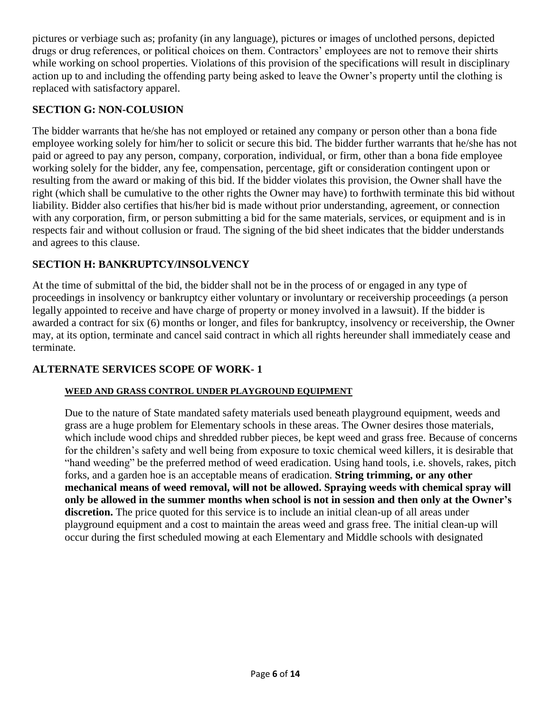pictures or verbiage such as; profanity (in any language), pictures or images of unclothed persons, depicted drugs or drug references, or political choices on them. Contractors' employees are not to remove their shirts while working on school properties. Violations of this provision of the specifications will result in disciplinary action up to and including the offending party being asked to leave the Owner's property until the clothing is replaced with satisfactory apparel.

#### **SECTION G: NON-COLUSION**

The bidder warrants that he/she has not employed or retained any company or person other than a bona fide employee working solely for him/her to solicit or secure this bid. The bidder further warrants that he/she has not paid or agreed to pay any person, company, corporation, individual, or firm, other than a bona fide employee working solely for the bidder, any fee, compensation, percentage, gift or consideration contingent upon or resulting from the award or making of this bid. If the bidder violates this provision, the Owner shall have the right (which shall be cumulative to the other rights the Owner may have) to forthwith terminate this bid without liability. Bidder also certifies that his/her bid is made without prior understanding, agreement, or connection with any corporation, firm, or person submitting a bid for the same materials, services, or equipment and is in respects fair and without collusion or fraud. The signing of the bid sheet indicates that the bidder understands and agrees to this clause.

#### **SECTION H: BANKRUPTCY/INSOLVENCY**

At the time of submittal of the bid, the bidder shall not be in the process of or engaged in any type of proceedings in insolvency or bankruptcy either voluntary or involuntary or receivership proceedings (a person legally appointed to receive and have charge of property or money involved in a lawsuit). If the bidder is awarded a contract for six (6) months or longer, and files for bankruptcy, insolvency or receivership, the Owner may, at its option, terminate and cancel said contract in which all rights hereunder shall immediately cease and terminate.

#### **ALTERNATE SERVICES SCOPE OF WORK- 1**

#### **WEED AND GRASS CONTROL UNDER PLAYGROUND EQUIPMENT**

Due to the nature of State mandated safety materials used beneath playground equipment, weeds and grass are a huge problem for Elementary schools in these areas. The Owner desires those materials, which include wood chips and shredded rubber pieces, be kept weed and grass free. Because of concerns for the children's safety and well being from exposure to toxic chemical weed killers, it is desirable that "hand weeding" be the preferred method of weed eradication. Using hand tools, i.e. shovels, rakes, pitch forks, and a garden hoe is an acceptable means of eradication. **String trimming, or any other mechanical means of weed removal, will not be allowed. Spraying weeds with chemical spray will only be allowed in the summer months when school is not in session and then only at the Owner's discretion.** The price quoted for this service is to include an initial clean-up of all areas under playground equipment and a cost to maintain the areas weed and grass free. The initial clean-up will occur during the first scheduled mowing at each Elementary and Middle schools with designated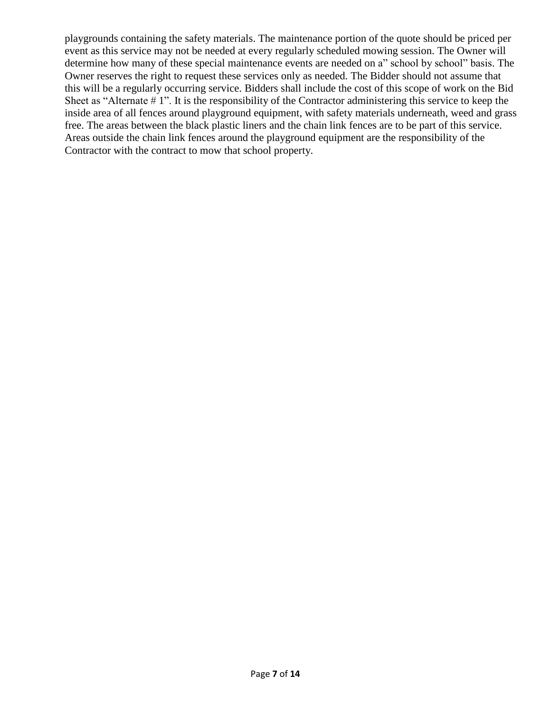playgrounds containing the safety materials. The maintenance portion of the quote should be priced per event as this service may not be needed at every regularly scheduled mowing session. The Owner will determine how many of these special maintenance events are needed on a" school by school" basis. The Owner reserves the right to request these services only as needed. The Bidder should not assume that this will be a regularly occurring service. Bidders shall include the cost of this scope of work on the Bid Sheet as "Alternate # 1". It is the responsibility of the Contractor administering this service to keep the inside area of all fences around playground equipment, with safety materials underneath, weed and grass free. The areas between the black plastic liners and the chain link fences are to be part of this service. Areas outside the chain link fences around the playground equipment are the responsibility of the Contractor with the contract to mow that school property.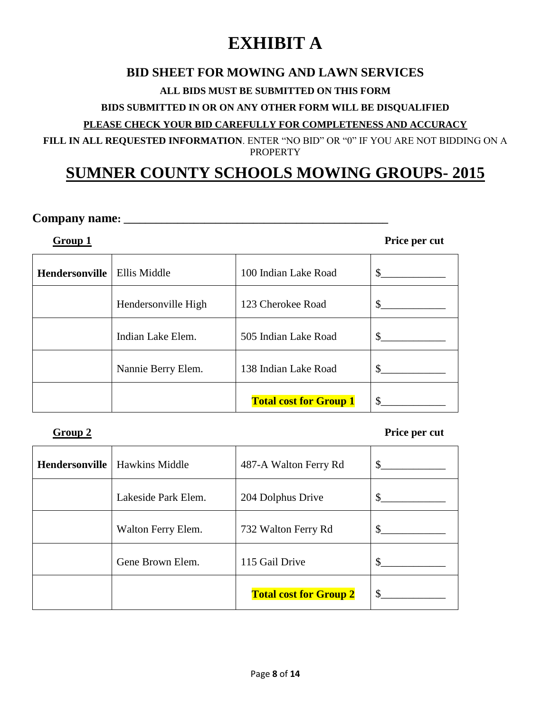# **EXHIBIT A**

## **BID SHEET FOR MOWING AND LAWN SERVICES**

#### **ALL BIDS MUST BE SUBMITTED ON THIS FORM**

#### **BIDS SUBMITTED IN OR ON ANY OTHER FORM WILL BE DISQUALIFIED**

#### **PLEASE CHECK YOUR BID CAREFULLY FOR COMPLETENESS AND ACCURACY**

**FILL IN ALL REQUESTED INFORMATION**. ENTER "NO BID" OR "0" IF YOU ARE NOT BIDDING ON A PROPERTY

# **SUMNER COUNTY SCHOOLS MOWING GROUPS- 2015**

#### **Company name: \_\_\_\_\_\_\_\_\_\_\_\_\_\_\_\_\_\_\_\_\_\_\_\_\_\_\_\_\_\_\_\_\_\_\_\_\_\_\_\_\_\_\_\_\_\_\_\_\_**

**Group 1 Price per cut** 

| <b>Hendersonville</b> | Ellis Middle        | 100 Indian Lake Road          | \$  |
|-----------------------|---------------------|-------------------------------|-----|
|                       | Hendersonville High | 123 Cherokee Road             | \$  |
|                       | Indian Lake Elem.   | 505 Indian Lake Road          | \$  |
|                       | Nannie Berry Elem.  | 138 Indian Lake Road          | \$. |
|                       |                     | <b>Total cost for Group 1</b> |     |

#### **Group 2 Price per cut**

| Hendersonville | <b>Hawkins Middle</b> | 487-A Walton Ferry Rd         | S.  |
|----------------|-----------------------|-------------------------------|-----|
|                | Lakeside Park Elem.   | 204 Dolphus Drive             | \$  |
|                | Walton Ferry Elem.    | 732 Walton Ferry Rd           | \$. |
|                | Gene Brown Elem.      | 115 Gail Drive                |     |
|                |                       | <b>Total cost for Group 2</b> | \$. |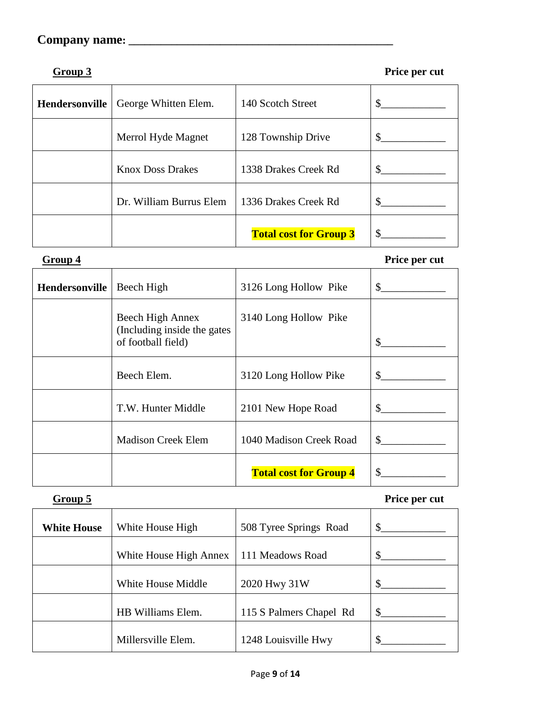**Group 3 Price per cut**

| Hendersonville | George Whitten Elem.    | 140 Scotch Street             |     |
|----------------|-------------------------|-------------------------------|-----|
|                | Merrol Hyde Magnet      | 128 Township Drive            | \$. |
|                | <b>Knox Doss Drakes</b> | 1338 Drakes Creek Rd          | \$. |
|                | Dr. William Burrus Elem | 1336 Drakes Creek Rd          |     |
|                |                         | <b>Total cost for Group 3</b> |     |

**Group 4** Hendersonville **Group 4 Price per cut Header** Beech High 3126 Long Hollow Pike \$ Beech High Annex (Including inside the gates of football field) 3140 Long Hollow Pike  $\frac{1}{2}$ Beech Elem.  $3120$  Long Hollow Pike  $\frac{1}{2}$ T.W. Hunter Middle 2101 New Hope Road \$\_\_\_\_\_\_\_\_\_\_\_\_ Madison Creek Elem 1040 Madison Creek Road \$\_\_\_\_\_\_\_\_\_\_\_\_ **Total cost for Group 4** \$\_\_\_\_\_\_\_\_\_\_\_\_

**Group 5 Price per cut**

| <b>White House</b> | White House High       | 508 Tyree Springs Road  |     |
|--------------------|------------------------|-------------------------|-----|
|                    | White House High Annex | 111 Meadows Road        |     |
|                    | White House Middle     | 2020 Hwy 31W            |     |
|                    | HB Williams Elem.      | 115 S Palmers Chapel Rd | \$. |
|                    | Millersville Elem.     | 1248 Louisville Hwy     |     |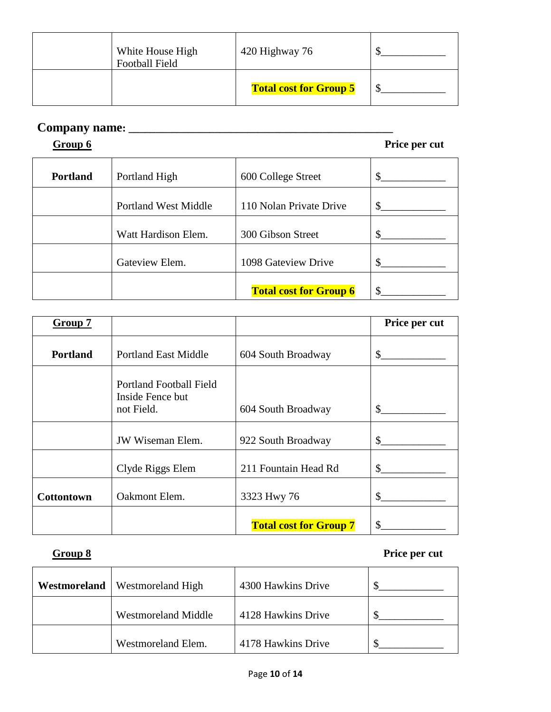|                                           | <b>Total cost for Group 5</b> |  |
|-------------------------------------------|-------------------------------|--|
| White House High<br><b>Football Field</b> | 420 Highway 76                |  |

**Group 6 Price per cut** 

| <b>Portland</b> | Portland High               | 600 College Street            |  |
|-----------------|-----------------------------|-------------------------------|--|
|                 | <b>Portland West Middle</b> | 110 Nolan Private Drive       |  |
|                 | Watt Hardison Elem.         | 300 Gibson Street             |  |
|                 | Gateview Elem.              | 1098 Gateview Drive           |  |
|                 |                             | <b>Total cost for Group 6</b> |  |

| Group 7           |                                                                  |                               | Price per cut |
|-------------------|------------------------------------------------------------------|-------------------------------|---------------|
| <b>Portland</b>   | <b>Portland East Middle</b>                                      | 604 South Broadway            | \$.           |
|                   | <b>Portland Football Field</b><br>Inside Fence but<br>not Field. | 604 South Broadway            | \$            |
|                   | <b>JW Wiseman Elem.</b>                                          | 922 South Broadway            | \$            |
|                   | Clyde Riggs Elem                                                 | 211 Fountain Head Rd          | \$            |
| <b>Cottontown</b> | Oakmont Elem.                                                    | 3323 Hwy 76                   | S.            |
|                   |                                                                  | <b>Total cost for Group 7</b> | <sup>\$</sup> |

#### **Group 8 Price per cut**

| Westmoreland | Westmoreland High          | 4300 Hawkins Drive |  |
|--------------|----------------------------|--------------------|--|
|              | <b>Westmoreland Middle</b> | 4128 Hawkins Drive |  |
|              | Westmoreland Elem.         | 4178 Hawkins Drive |  |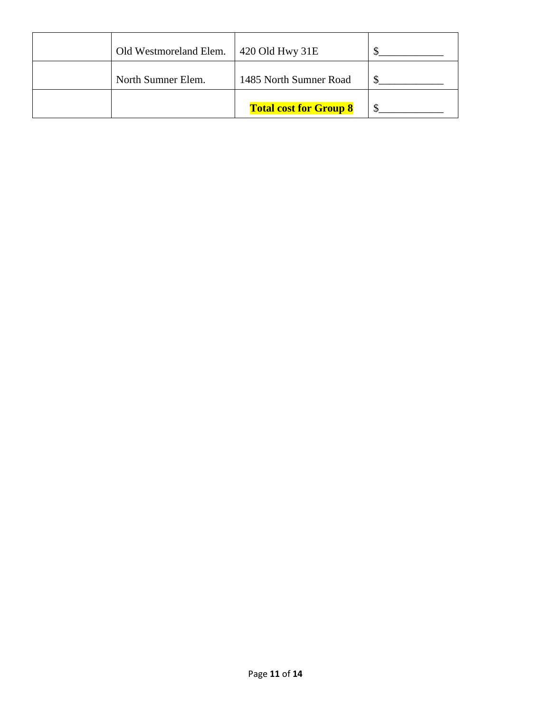| Old Westmoreland Elem. | 420 Old Hwy 31E               |  |
|------------------------|-------------------------------|--|
| North Sumner Elem.     | 1485 North Sumner Road        |  |
|                        | <b>Total cost for Group 8</b> |  |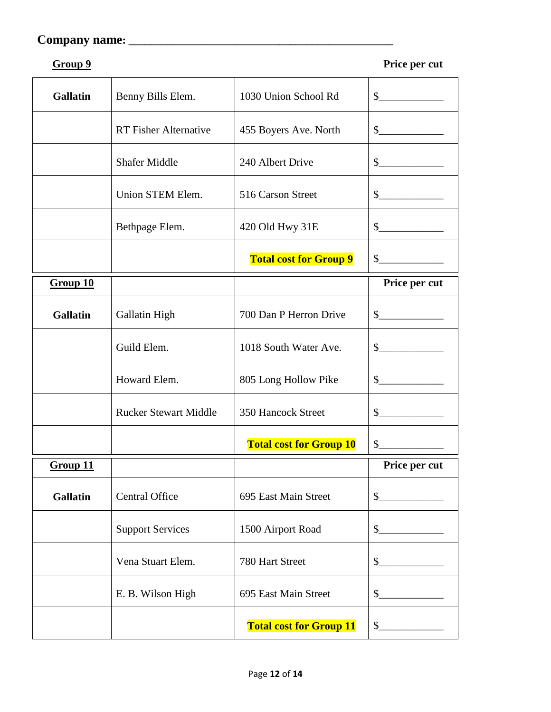```
Group 9 Price per cut
```

| <b>Gallatin</b> | Benny Bills Elem.            | 1030 Union School Rd           | $\sim$            |
|-----------------|------------------------------|--------------------------------|-------------------|
|                 | <b>RT Fisher Alternative</b> | 455 Boyers Ave. North          | $\sim$            |
|                 | <b>Shafer Middle</b>         | 240 Albert Drive               | $\frac{1}{2}$     |
|                 | Union STEM Elem.             | 516 Carson Street              | $\frac{1}{2}$     |
|                 | Bethpage Elem.               | 420 Old Hwy 31E                | $\mathcal{S}$     |
|                 |                              | <b>Total cost for Group 9</b>  | $\mathcal{S}$     |
| Group 10        |                              |                                | Price per cut     |
| <b>Gallatin</b> | Gallatin High                | 700 Dan P Herron Drive         | $\mathcal{S}$     |
|                 | Guild Elem.                  | 1018 South Water Ave.          | $\frac{1}{2}$     |
|                 | Howard Elem.                 | 805 Long Hollow Pike           | $\mathcal{S}$     |
|                 | <b>Rucker Stewart Middle</b> | 350 Hancock Street             | $\mathcal{S}$     |
|                 |                              | <b>Total cost for Group 10</b> | $\mathcal{S}_{-}$ |
| Group 11        |                              |                                | Price per cut     |
| <b>Gallatin</b> | <b>Central Office</b>        | 695 East Main Street           | $\mathsf{S}_-$    |
|                 | <b>Support Services</b>      | 1500 Airport Road              | $\frac{1}{2}$     |
|                 | Vena Stuart Elem.            | 780 Hart Street                | $\frac{1}{2}$     |
|                 | E. B. Wilson High            | 695 East Main Street           | $\frac{1}{2}$     |
|                 |                              | <b>Total cost for Group 11</b> | $\frac{1}{2}$     |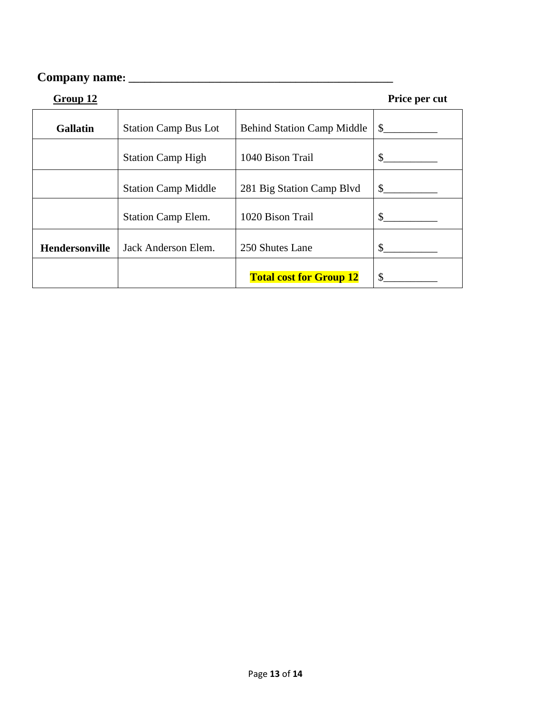| Group 12              |                             |                                   | Price per cut |
|-----------------------|-----------------------------|-----------------------------------|---------------|
| <b>Gallatin</b>       | <b>Station Camp Bus Lot</b> | <b>Behind Station Camp Middle</b> | \$            |
|                       | <b>Station Camp High</b>    | 1040 Bison Trail                  | \$            |
|                       | <b>Station Camp Middle</b>  | 281 Big Station Camp Blvd         | $\mathbb{S}$  |
|                       | <b>Station Camp Elem.</b>   | 1020 Bison Trail                  | \$            |
| <b>Hendersonville</b> | Jack Anderson Elem.         | 250 Shutes Lane                   | \$            |
|                       |                             | <b>Total cost for Group 12</b>    | \$            |